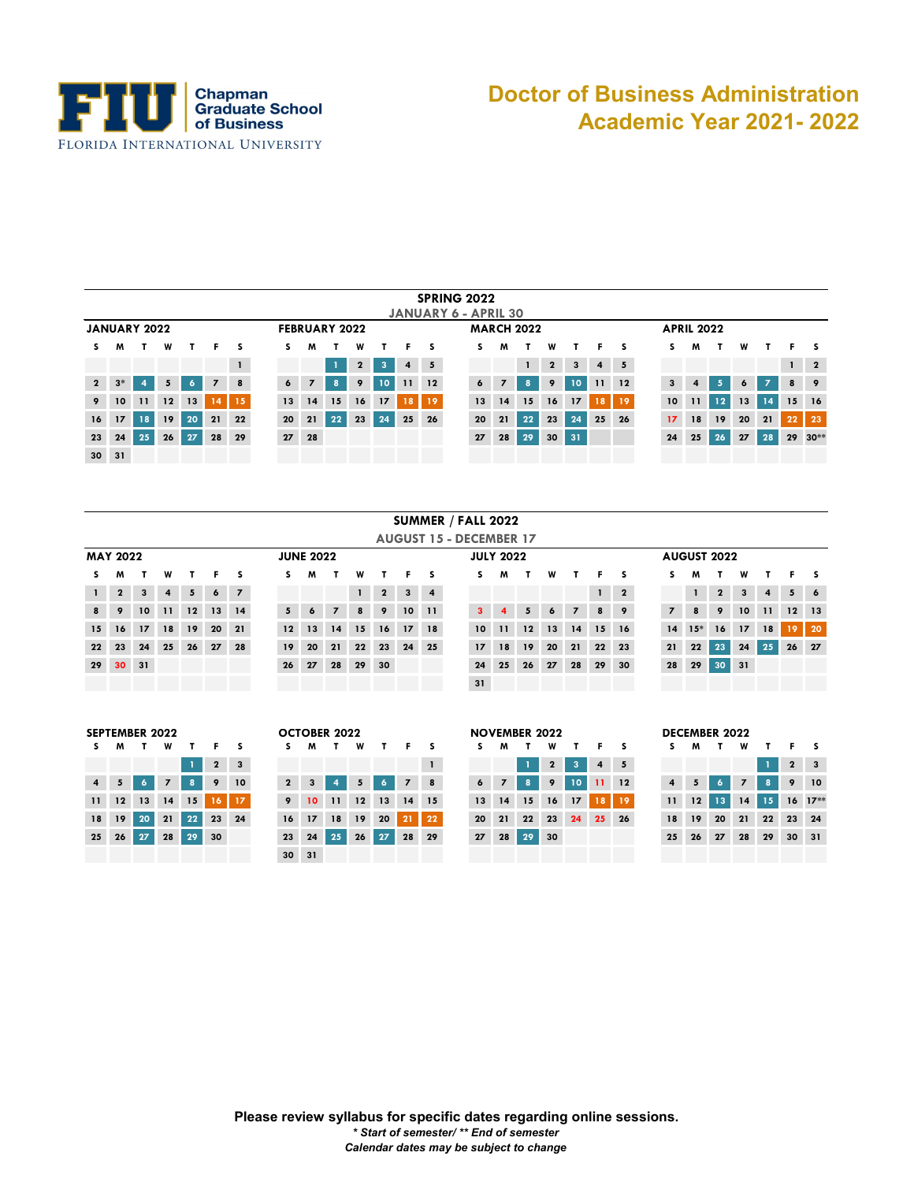

## **Doctor of Business Administration Academic Year 2021- 2022**

|                 | <b>SPRING 2022</b><br><b>JANUARY 6 - APRIL 30</b>                                                                                                                                                       |                 |    |    |                |    |  |                 |                |    |             |                 |        |    |  |                 |                |    |              |    |                |                 |                 |               |         |    |                 |                 |                         |
|-----------------|---------------------------------------------------------------------------------------------------------------------------------------------------------------------------------------------------------|-----------------|----|----|----------------|----|--|-----------------|----------------|----|-------------|-----------------|--------|----|--|-----------------|----------------|----|--------------|----|----------------|-----------------|-----------------|---------------|---------|----|-----------------|-----------------|-------------------------|
|                 |                                                                                                                                                                                                         |                 |    |    |                |    |  |                 |                |    |             |                 |        |    |  |                 |                |    |              |    |                |                 |                 |               |         |    |                 |                 |                         |
|                 | <b>MARCH 2022</b><br><b>JANUARY 2022</b><br><b>APRIL 2022</b><br><b>FEBRUARY 2022</b><br>W<br>w<br>W<br>w<br>M<br>F.<br>-S<br>s<br>S.<br>s<br>S.<br>M<br>M<br>т.<br>S.<br>F.<br>F.<br>т<br>Е.<br>M<br>s |                 |    |    |                |    |  |                 |                |    |             |                 |        |    |  |                 |                |    |              |    |                |                 |                 |               |         |    |                 |                 |                         |
| S.              |                                                                                                                                                                                                         |                 |    |    |                |    |  |                 |                |    |             |                 |        |    |  |                 |                |    |              |    |                |                 |                 |               |         |    |                 |                 |                         |
|                 |                                                                                                                                                                                                         |                 |    |    |                |    |  |                 |                |    | $\mathbf 2$ | 3               | 4      | 5  |  |                 |                |    | $\mathbf{2}$ | 3  | $\overline{4}$ | $5\phantom{.0}$ |                 |               |         |    |                 | $\mathbf{1}$    | $\overline{\mathbf{2}}$ |
| $\overline{2}$  | $3*$                                                                                                                                                                                                    | 4               | 5  | 6. | $\overline{z}$ | 8  |  | 6               | $\overline{7}$ | 8  | 9           | 10 <sub>1</sub> | 11     | 12 |  | 6               | $\overline{z}$ | 8  | 9            | 10 | 11             | 12              | 3               | 4             | 67      | 6  | $\overline{z}$  | 8               | 9                       |
| 9               | 10 <sup>°</sup>                                                                                                                                                                                         | $\overline{11}$ | 12 | 13 | $14-1$         | 15 |  | 13              | 14             | 15 | 16          | 17              | \] 8 \ | 19 |  | 13              | 14             | 15 | 16           | 17 | 18             | 19              | 10 <sup>°</sup> | $\mathbf{11}$ | $12 \,$ | 13 | 14 <sup>1</sup> | 15 <sub>1</sub> | 16                      |
| 16              | 17                                                                                                                                                                                                      | 18              | 19 | 20 | 21             | 22 |  | 20 <sub>2</sub> | 21             | 22 | 23          | 24              | 25     | 26 |  | 20 <sub>1</sub> | 21             | 22 | 23           | 24 | 25             | 26              | 17              | 18            | 19      | 20 | 21              | 22              | 23                      |
| 23              | 24                                                                                                                                                                                                      | 25              | 26 | 27 | 28             | 29 |  | 27              | 28             |    |             |                 |        |    |  | 27              | 28             | 29 | 30           | 31 |                |                 | 24              | 25            | 26      | 27 | 28              |                 | 29 30**                 |
| 30 <sup>°</sup> | 31                                                                                                                                                                                                      |                 |    |    |                |    |  |                 |                |    |             |                 |        |    |  |                 |                |    |              |    |                |                 |                 |               |         |    |                 |                 |                         |

|              |                 |                 |                |              |       |                |                 |                  |                |              |                |        |                 | <b>AUGUST 15 - DECEMBER 17</b> |                  |    |                 |       |                |    |                |                |              |                    |                 |                 |         |            |
|--------------|-----------------|-----------------|----------------|--------------|-------|----------------|-----------------|------------------|----------------|--------------|----------------|--------|-----------------|--------------------------------|------------------|----|-----------------|-------|----------------|----|----------------|----------------|--------------|--------------------|-----------------|-----------------|---------|------------|
|              | <b>MAY 2022</b> |                 |                |              |       |                |                 | <b>JUNE 2022</b> |                |              |                |        |                 |                                | <b>JULY 2022</b> |    |                 |       |                |    |                |                |              | <b>AUGUST 2022</b> |                 |                 |         |            |
| S.           | M               | т               | W              | $\mathbf{r}$ |       | F <sub>S</sub> | S.              | M                | T.             | W            |                |        | F <sub>S</sub>  |                                | s.               | M. | T.              | W     | $\mathbf{T}$   |    | F <sub>S</sub> | S.             | M            | т                  | W               |                 | Е.      | <u>s</u>   |
| $\mathbf{1}$ | $\overline{2}$  | $3^{\circ}$     | $\overline{4}$ | 5            | 6     | $\overline{z}$ |                 |                  |                | $\mathbf{1}$ | $\overline{2}$ |        | $3 \mid 4$      |                                |                  |    |                 |       |                |    | $1 \quad 2$    |                | $\mathbf{1}$ | $\mathbf{2}$       | $\mathbf{3}$    | $\overline{4}$  |         | $5\quad 6$ |
| 8            | -9              | 10 <sup>1</sup> | 11             | 12           | 13 14 |                | 5 <sub>1</sub>  | 6 <sup>1</sup>   | $\overline{7}$ | 8            | 9              | $10-1$ | $\overline{11}$ |                                | $3-1$            | 4  | 5 <sub>1</sub>  | 6     | $\overline{7}$ | 8  | - 9            | $\overline{z}$ | 8            | 9                  | 10 <sub>1</sub> | $\overline{11}$ | $12$ 13 |            |
| 15           | 16              | 17              |                | 18 19        | 20    | 21             | 12              | 13               | 14             | 15           | 16             | 17     | <b>18</b>       |                                | 10 <sup>°</sup>  | 11 | 12              | $-13$ | 14             | 15 | 16             |                | $14 \t15*$   | 16                 | 17              | 18              | 19      | $-20$      |
| 22           | 23              | 24              | 25             | 26           | 27    | 28             | 19 <sup>1</sup> | 20               | 21             | 22           | 23             | 24     | 25              |                                | 17 <sup>2</sup>  | 18 | 19 <sup>°</sup> | 20    | 21             | 22 | 23             | 21             | 22           | 23 <sup>°</sup>    | 24              | 25              | 26 27   |            |
|              | 29 30 31        |                 |                |              |       |                | 26              | 27               | 28             | $-29$        | 30             |        |                 |                                | 24               | 25 | 26              | 27    | 28             | 29 | $30^{\circ}$   | 28             |              | 29 30 31           |                 |                 |         |            |
|              |                 |                 |                |              |       |                |                 |                  |                |              |                |        |                 |                                | 31               |    |                 |       |                |    |                |                |              |                    |                 |                 |         |            |
|              |                 |                 |                |              |       |                |                 |                  |                |              |                |        |                 |                                |                  |    |                 |       |                |    |                |                |              |                    |                 |                 |         |            |

|                         | JEF I EINDER ZVZZ |                |     |              |                   |    |
|-------------------------|-------------------|----------------|-----|--------------|-------------------|----|
| s                       | M                 |                | W   |              | F.                | S  |
|                         |                   |                |     | $\mathbf{1}$ | $\mathbf{2}$      | 3  |
| $\overline{\mathbf{4}}$ | 5 <sub>1</sub>    | 6 <sup>1</sup> | 7 8 |              | - 9               | 10 |
| 11                      |                   |                |     |              | 12 13 14 15 16 17 |    |
| 18                      |                   |                |     |              | 19 20 21 22 23 24 |    |
| 25                      |                   | 26 27 28 29    |     |              | 30                |    |
|                         |                   |                |     |              |                   |    |

|             | EPIEMBER ZUZZ        |                |                |            |             |                |              | <b>UCIUBER 2022</b> |                |                 |     |           |  |                   | NOVEMBER 2022  |       |                |                   |             |                |             | DECEMBER 2022 |                |             |             |                 |
|-------------|----------------------|----------------|----------------|------------|-------------|----------------|--------------|---------------------|----------------|-----------------|-----|-----------|--|-------------------|----------------|-------|----------------|-------------------|-------------|----------------|-------------|---------------|----------------|-------------|-------------|-----------------|
| S M         | $\mathbf{r}$         |                | W T            | <b>F</b> F |             |                | M            | T.                  | W              | $\mathbf{T}$    | Е.  |           |  | M                 | T              | W     | т              | <b>F</b> P        |             |                | <b>MT</b>   |               | W              | T.          |             | F <sub>S</sub>  |
|             |                      |                |                |            | $2 \quad 3$ |                |              |                     |                |                 |     |           |  |                   |                | $1$ 2 |                | $3 \mid 4 \mid 5$ |             |                |             |               |                |             |             | $2 \mid 3 \mid$ |
| $4 \quad 5$ | 6 <sup>1</sup>       | $\overline{7}$ | 8 <sup>1</sup> |            | 9 10        | $2^{\prime}$   | $\mathbf{3}$ | $\overline{4}$      | 5 <sub>1</sub> | 6 <sup>1</sup>  | 7 8 |           |  | $6 \quad 7 \quad$ |                |       | 8 9 10 11 12   |                   |             | $\overline{4}$ | $5^{\circ}$ | $\sqrt{6}$    | $\overline{z}$ | $8-1$       | 9 10        |                 |
|             | 11 12 13             |                | $14$ 15        |            | $16$ 17     | 9 <sup>1</sup> |              | 10 11 12 13 14 15   |                |                 |     |           |  |                   | 13 14 15 16 17 |       |                |                   | $18$   $19$ | $11 -$         |             |               |                | 12 13 14 15 | $16$ $17**$ |                 |
|             | 18 19 20 21 22 23 24 |                |                |            |             | $16-1$         | 17           | 18 19               |                | <b>20</b>       |     | $21$   22 |  | $20 \quad 21$     |                |       | 22 23 24 25 26 |                   |             | 18             | 19          | 20            |                | 21 22 23 24 |             |                 |
|             | $25$ $26$ $27$       |                | 28 29 30       |            |             |                |              | 23 24 25            | 26             | $\overline{27}$ |     | 28 29     |  |                   | 27 28 29 30    |       |                |                   |             | 25             |             | 26 27         |                | 28 29 30 31 |             |                 |
|             |                      |                |                |            |             |                | 30 31        |                     |                |                 |     |           |  |                   |                |       |                |                   |             |                |             |               |                |             |             |                 |

|                |    | <b>SEPTEMBER 2022</b> |                |              |              |                         |                 |              | <b>OCTOBER 2022</b> |     |              |                |                         |                 |                | <b>NOVEMBER 2022</b> |              |                 |                |             |                |    | <b>DECEMBER 2022</b> |                |
|----------------|----|-----------------------|----------------|--------------|--------------|-------------------------|-----------------|--------------|---------------------|-----|--------------|----------------|-------------------------|-----------------|----------------|----------------------|--------------|-----------------|----------------|-------------|----------------|----|----------------------|----------------|
| s.             | M  | т.                    | W              | T            | F.           | s                       | S               | M            | т.                  | W   | $\mathbf{T}$ | F.             | - S                     | S.              | M              |                      | W            | т.              | F.             |             |                | M  |                      | W              |
|                |    |                       |                |              | $\mathbf{2}$ | $\overline{\mathbf{3}}$ |                 |              |                     |     |              |                | $\mathbf{1}$            |                 |                |                      | $\mathbf{2}$ | $\overline{3}$  | $\overline{4}$ | 5           |                |    |                      |                |
| $\overline{4}$ | 5  | 6                     | $\overline{7}$ | $\mathbf{a}$ | 9            | 10                      | $\mathbf{2}$    | $\mathbf{3}$ | $\overline{4}$      | 5   | 6            | $\overline{7}$ | $\overline{\mathbf{8}}$ | $\epsilon$      | $\overline{z}$ | 8                    | -9           | 10 <sup>°</sup> | $-11$          | 12          | $\overline{4}$ | 5  |                      | $\overline{z}$ |
| 11             | 12 | 13                    | 14             | 15           |              | $16$ 17                 | 9               |              | $10 - 11$           | 12  | 13           | 14             | 15                      | 13              | 14             | 15                   | 16           | 17              |                | $18$   $19$ | 11             | 12 | 13 <sup>1</sup>      | 14             |
| 18             | 19 | 20                    | 21             | 22           |              | 23 24                   | 16              | 17           | 18                  | 19  | 20           | 21             | 22                      | 20 <sup>°</sup> | 21             | 22                   | 23           | 24              | 25             | -26         | 18             | 19 | 20 21                |                |
| 25             | 26 | 27                    | 28             | 29           | 30           |                         | 23              | 24           | 25                  | -26 | 27           |                | 28 29                   | 27              | 28             | 29 30                |              |                 |                |             | 25             | 26 | 27                   | 28             |
|                |    |                       |                |              |              |                         | 30 <sup>°</sup> | 31           |                     |     |              |                |                         |                 |                |                      |              |                 |                |             |                |    |                      |                |

|    | <b>DECEMBER 2022</b> |    |                |         |              |    |
|----|----------------------|----|----------------|---------|--------------|----|
| S  | M                    |    | w              |         | F            | s  |
|    |                      |    |                | 1       | $\mathbf{2}$ | 3  |
| 4  | 5                    | 6  | $\overline{z}$ | 8       | 9            | 10 |
| 11 | 12                   | 13 |                | $14$ 15 | <b>16</b>    |    |
| 18 | 19                   | 20 | 21             | 22      | 23           | 24 |
| 25 | 26                   | 27 | 28             | 29      | 30           | 31 |
|    |                      |    |                |         |              |    |

 $\mathcal{L}_{\mathcal{A}}$